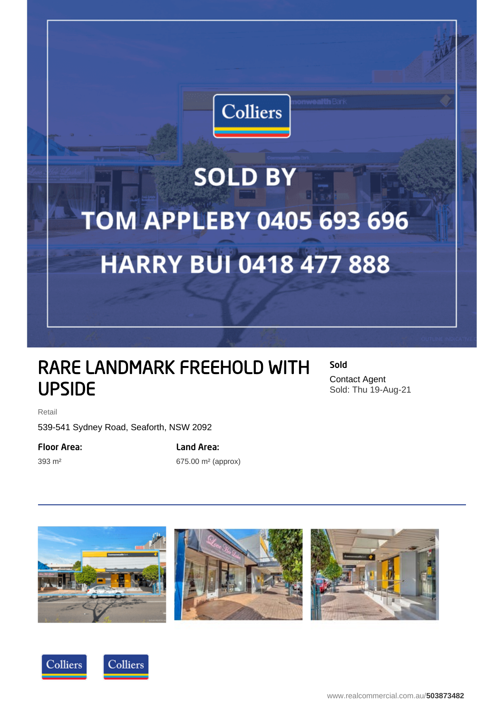

## **SOLD BY TOM APPLEBY 0405 693 696 HARRY BUI 0418 477 888**

## RARE LANDMARK FREEHOLD WITH UPSIDE

Sold Contact Agent Sold: Thu 19-Aug-21

Retail

539-541 Sydney Road, Seaforth, NSW 2092

Floor Area:

393 m²

Land Area:

675.00 m² (approx)